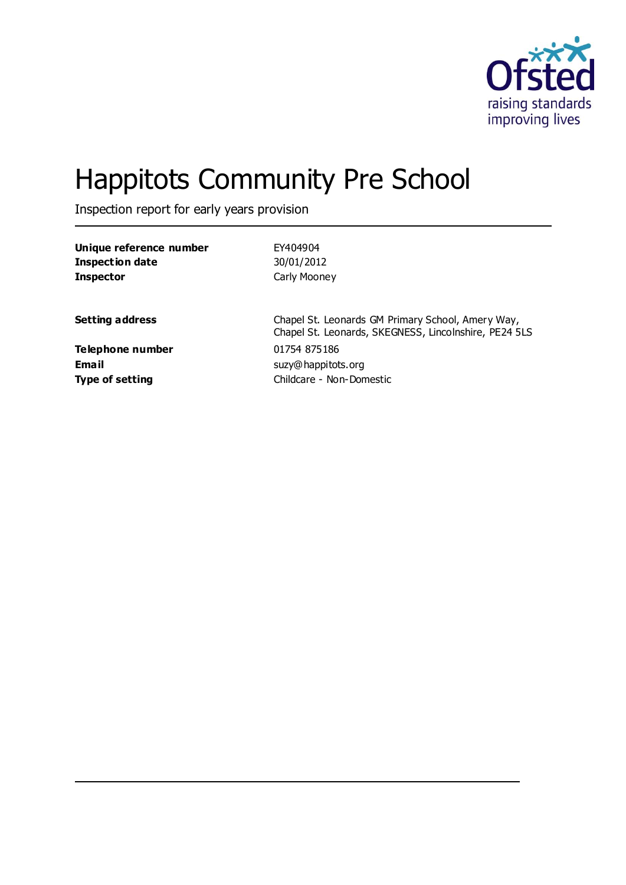

# Happitots Community Pre School

Inspection report for early years provision

| EY404904<br>30/01/2012<br>Carly Mooney                                                                     |
|------------------------------------------------------------------------------------------------------------|
| Chapel St. Leonards GM Primary School, Amery Way,<br>Chapel St. Leonards, SKEGNESS, Lincolnshire, PE24 5LS |
| 01754 875186<br>suzy@happitots.org<br>Childcare - Non-Domestic                                             |
|                                                                                                            |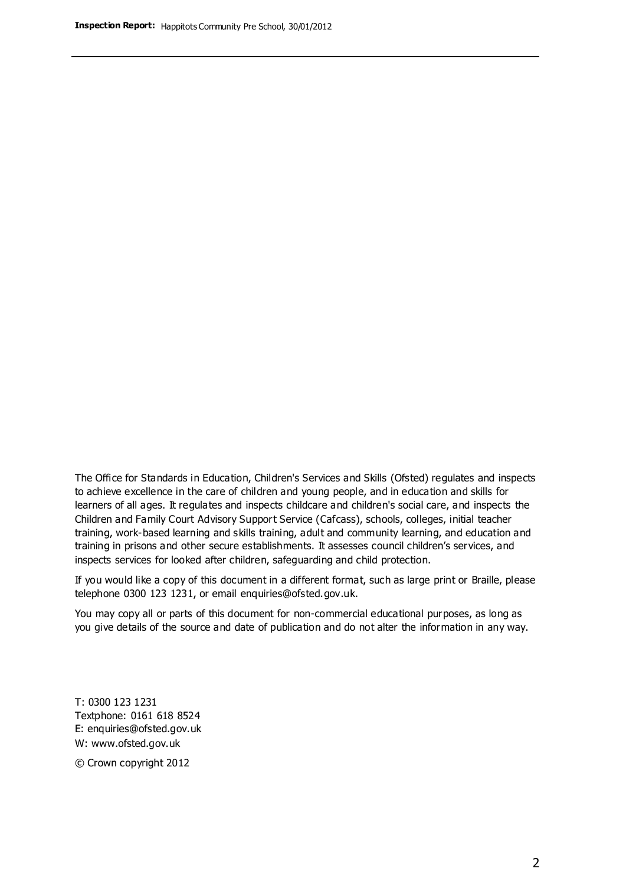The Office for Standards in Education, Children's Services and Skills (Ofsted) regulates and inspects to achieve excellence in the care of children and young people, and in education and skills for learners of all ages. It regulates and inspects childcare and children's social care, and inspects the Children and Family Court Advisory Support Service (Cafcass), schools, colleges, initial teacher training, work-based learning and skills training, adult and community learning, and education and training in prisons and other secure establishments. It assesses council children's services, and inspects services for looked after children, safeguarding and child protection.

If you would like a copy of this document in a different format, such as large print or Braille, please telephone 0300 123 1231, or email enquiries@ofsted.gov.uk.

You may copy all or parts of this document for non-commercial educational purposes, as long as you give details of the source and date of publication and do not alter the information in any way.

T: 0300 123 1231 Textphone: 0161 618 8524 E: enquiries@ofsted.gov.uk W: [www.ofsted.gov.uk](http://www.ofsted.gov.uk/)

© Crown copyright 2012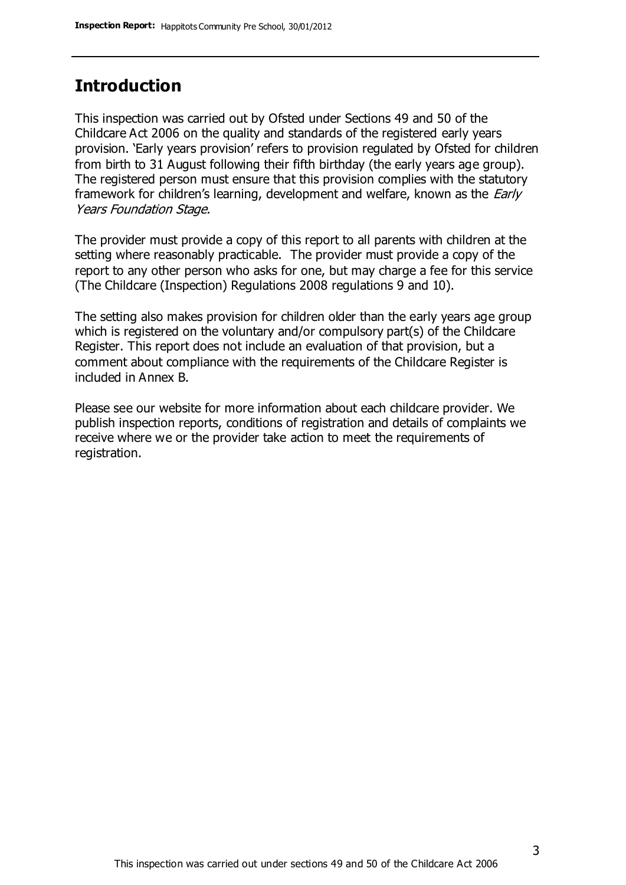## **Introduction**

This inspection was carried out by Ofsted under Sections 49 and 50 of the Childcare Act 2006 on the quality and standards of the registered early years provision. 'Early years provision' refers to provision regulated by Ofsted for children from birth to 31 August following their fifth birthday (the early years age group). The registered person must ensure that this provision complies with the statutory framework for children's learning, development and welfare, known as the *Early* Years Foundation Stage.

The provider must provide a copy of this report to all parents with children at the setting where reasonably practicable. The provider must provide a copy of the report to any other person who asks for one, but may charge a fee for this service (The Childcare (Inspection) Regulations 2008 regulations 9 and 10).

The setting also makes provision for children older than the early years age group which is registered on the voluntary and/or compulsory part(s) of the Childcare Register. This report does not include an evaluation of that provision, but a comment about compliance with the requirements of the Childcare Register is included in Annex B.

Please see our website for more information about each childcare provider. We publish inspection reports, conditions of registration and details of complaints we receive where we or the provider take action to meet the requirements of registration.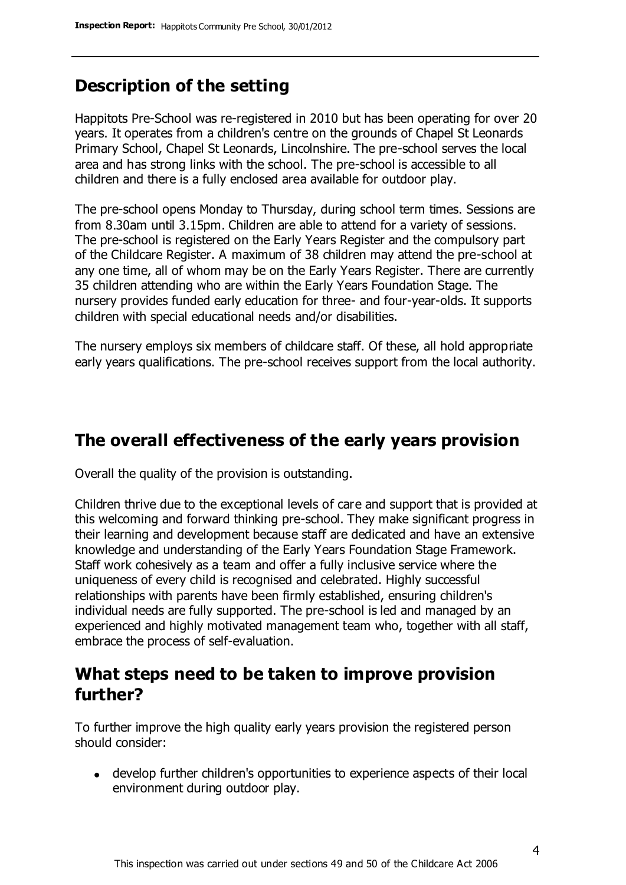# **Description of the setting**

Happitots Pre-School was re-registered in 2010 but has been operating for over 20 years. It operates from a children's centre on the grounds of Chapel St Leonards Primary School, Chapel St Leonards, Lincolnshire. The pre-school serves the local area and has strong links with the school. The pre-school is accessible to all children and there is a fully enclosed area available for outdoor play.

The pre-school opens Monday to Thursday, during school term times. Sessions are from 8.30am until 3.15pm. Children are able to attend for a variety of sessions. The pre-school is registered on the Early Years Register and the compulsory part of the Childcare Register. A maximum of 38 children may attend the pre-school at any one time, all of whom may be on the Early Years Register. There are currently 35 children attending who are within the Early Years Foundation Stage. The nursery provides funded early education for three- and four-year-olds. It supports children with special educational needs and/or disabilities.

The nursery employs six members of childcare staff. Of these, all hold appropriate early years qualifications. The pre-school receives support from the local authority.

## **The overall effectiveness of the early years provision**

Overall the quality of the provision is outstanding.

Children thrive due to the exceptional levels of care and support that is provided at this welcoming and forward thinking pre-school. They make significant progress in their learning and development because staff are dedicated and have an extensive knowledge and understanding of the Early Years Foundation Stage Framework. Staff work cohesively as a team and offer a fully inclusive service where the uniqueness of every child is recognised and celebrated. Highly successful relationships with parents have been firmly established, ensuring children's individual needs are fully supported. The pre-school is led and managed by an experienced and highly motivated management team who, together with all staff, embrace the process of self-evaluation.

## **What steps need to be taken to improve provision further?**

To further improve the high quality early years provision the registered person should consider:

develop further children's opportunities to experience aspects of their local environment during outdoor play.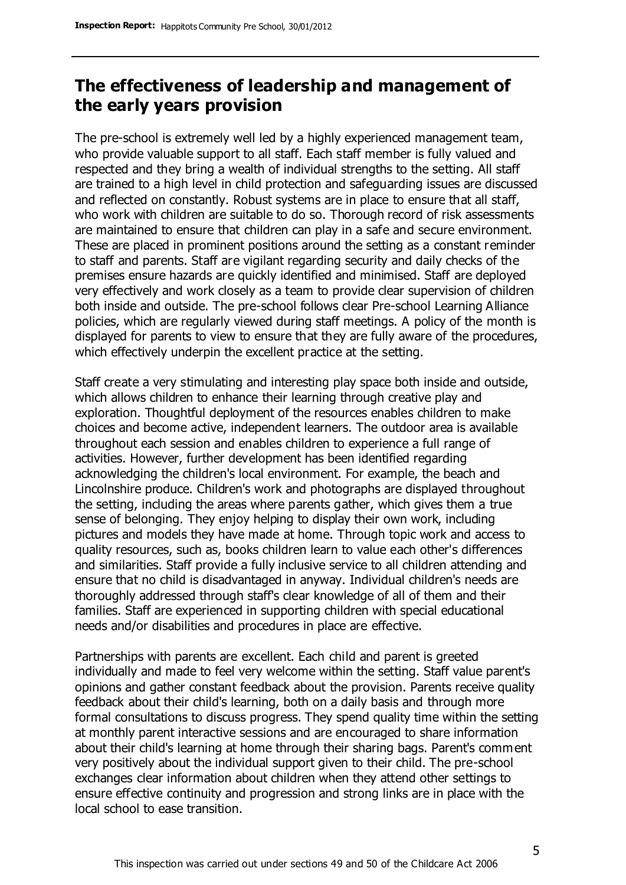## **The effectiveness of leadership and management of the early years provision**

The pre-school is extremely well led by a highly experienced management team, who provide valuable support to all staff. Each staff member is fully valued and respected and they bring a wealth of individual strengths to the setting. All staff are trained to a high level in child protection and safeguarding issues are discussed and reflected on constantly. Robust systems are in place to ensure that all staff, who work with children are suitable to do so. Thorough record of risk assessments are maintained to ensure that children can play in a safe and secure environment. These are placed in prominent positions around the setting as a constant reminder to staff and parents. Staff are vigilant regarding security and daily checks of the premises ensure hazards are quickly identified and minimised. Staff are deployed very effectively and work closely as a team to provide clear supervision of children both inside and outside. The pre-school follows clear Pre-school Learning Alliance policies, which are regularly viewed during staff meetings. A policy of the month is displayed for parents to view to ensure that they are fully aware of the procedures, which effectively underpin the excellent practice at the setting.

Staff create a very stimulating and interesting play space both inside and outside, which allows children to enhance their learning through creative play and exploration. Thoughtful deployment of the resources enables children to make choices and become active, independent learners. The outdoor area is available throughout each session and enables children to experience a full range of activities. However, further development has been identified regarding acknowledging the children's local environment. For example, the beach and Lincolnshire produce. Children's work and photographs are displayed throughout the setting, including the areas where parents gather, which gives them a true sense of belonging. They enjoy helping to display their own work, including pictures and models they have made at home. Through topic work and access to quality resources, such as, books children learn to value each other's differences and similarities. Staff provide a fully inclusive service to all children attending and ensure that no child is disadvantaged in anyway. Individual children's needs are thoroughly addressed through staff's clear knowledge of all of them and their families. Staff are experienced in supporting children with special educational needs and/or disabilities and procedures in place are effective.

Partnerships with parents are excellent. Each child and parent is greeted individually and made to feel very welcome within the setting. Staff value parent's opinions and gather constant feedback about the provision. Parents receive quality feedback about their child's learning, both on a daily basis and through more formal consultations to discuss progress. They spend quality time within the setting at monthly parent interactive sessions and are encouraged to share information about their child's learning at home through their sharing bags. Parent's comment very positively about the individual support given to their child. The pre-school exchanges clear information about children when they attend other settings to ensure effective continuity and progression and strong links are in place with the local school to ease transition.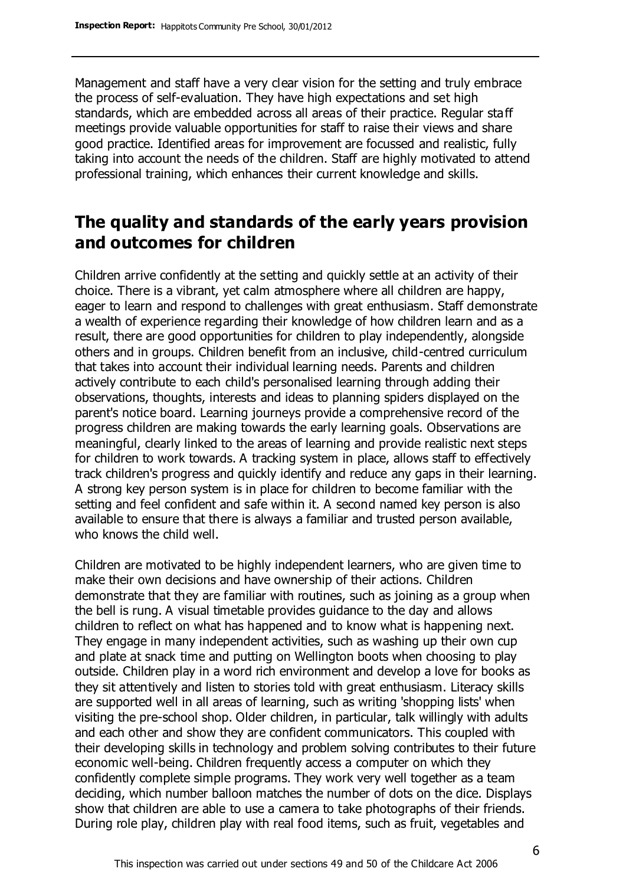Management and staff have a very clear vision for the setting and truly embrace the process of self-evaluation. They have high expectations and set high standards, which are embedded across all areas of their practice. Regular staff meetings provide valuable opportunities for staff to raise their views and share good practice. Identified areas for improvement are focussed and realistic, fully taking into account the needs of the children. Staff are highly motivated to attend professional training, which enhances their current knowledge and skills.

# **The quality and standards of the early years provision and outcomes for children**

Children arrive confidently at the setting and quickly settle at an activity of their choice. There is a vibrant, yet calm atmosphere where all children are happy, eager to learn and respond to challenges with great enthusiasm. Staff demonstrate a wealth of experience regarding their knowledge of how children learn and as a result, there are good opportunities for children to play independently, alongside others and in groups. Children benefit from an inclusive, child-centred curriculum that takes into account their individual learning needs. Parents and children actively contribute to each child's personalised learning through adding their observations, thoughts, interests and ideas to planning spiders displayed on the parent's notice board. Learning journeys provide a comprehensive record of the progress children are making towards the early learning goals. Observations are meaningful, clearly linked to the areas of learning and provide realistic next steps for children to work towards. A tracking system in place, allows staff to effectively track children's progress and quickly identify and reduce any gaps in their learning. A strong key person system is in place for children to become familiar with the setting and feel confident and safe within it. A second named key person is also available to ensure that there is always a familiar and trusted person available, who knows the child well.

Children are motivated to be highly independent learners, who are given time to make their own decisions and have ownership of their actions. Children demonstrate that they are familiar with routines, such as joining as a group when the bell is rung. A visual timetable provides guidance to the day and allows children to reflect on what has happened and to know what is happening next. They engage in many independent activities, such as washing up their own cup and plate at snack time and putting on Wellington boots when choosing to play outside. Children play in a word rich environment and develop a love for books as they sit attentively and listen to stories told with great enthusiasm. Literacy skills are supported well in all areas of learning, such as writing 'shopping lists' when visiting the pre-school shop. Older children, in particular, talk willingly with adults and each other and show they are confident communicators. This coupled with their developing skills in technology and problem solving contributes to their future economic well-being. Children frequently access a computer on which they confidently complete simple programs. They work very well together as a team deciding, which number balloon matches the number of dots on the dice. Displays show that children are able to use a camera to take photographs of their friends. During role play, children play with real food items, such as fruit, vegetables and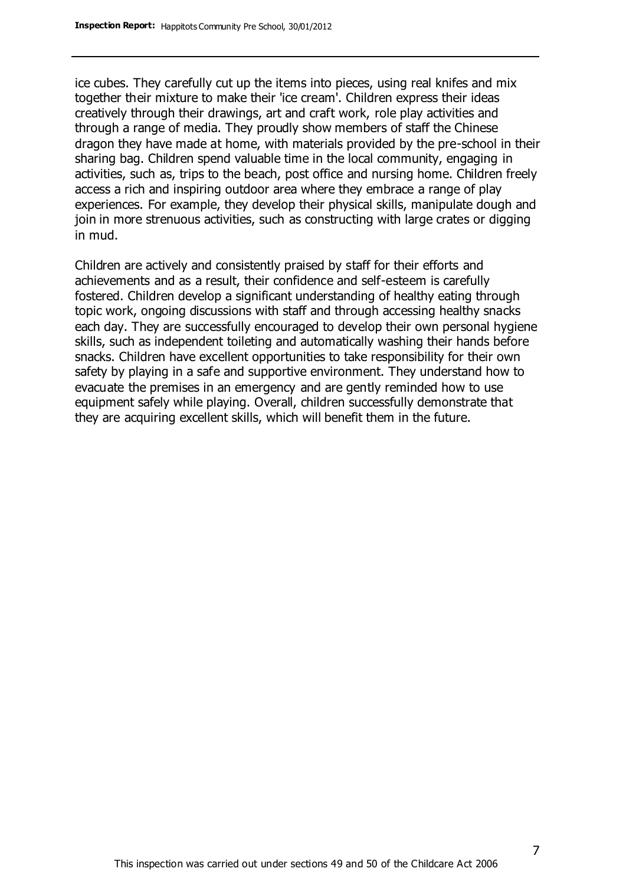ice cubes. They carefully cut up the items into pieces, using real knifes and mix together their mixture to make their 'ice cream'. Children express their ideas creatively through their drawings, art and craft work, role play activities and through a range of media. They proudly show members of staff the Chinese dragon they have made at home, with materials provided by the pre-school in their sharing bag. Children spend valuable time in the local community, engaging in activities, such as, trips to the beach, post office and nursing home. Children freely access a rich and inspiring outdoor area where they embrace a range of play experiences. For example, they develop their physical skills, manipulate dough and join in more strenuous activities, such as constructing with large crates or digging in mud.

Children are actively and consistently praised by staff for their efforts and achievements and as a result, their confidence and self-esteem is carefully fostered. Children develop a significant understanding of healthy eating through topic work, ongoing discussions with staff and through accessing healthy snacks each day. They are successfully encouraged to develop their own personal hygiene skills, such as independent toileting and automatically washing their hands before snacks. Children have excellent opportunities to take responsibility for their own safety by playing in a safe and supportive environment. They understand how to evacuate the premises in an emergency and are gently reminded how to use equipment safely while playing. Overall, children successfully demonstrate that they are acquiring excellent skills, which will benefit them in the future.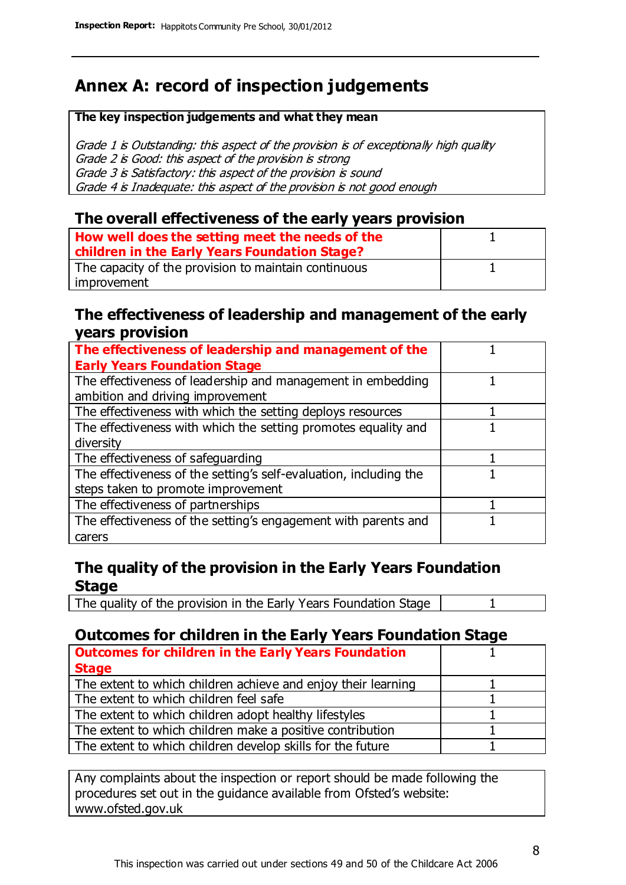# **Annex A: record of inspection judgements**

#### **The key inspection judgements and what they mean**

Grade 1 is Outstanding: this aspect of the provision is of exceptionally high quality Grade 2 is Good: this aspect of the provision is strong Grade 3 is Satisfactory: this aspect of the provision is sound Grade 4 is Inadequate: this aspect of the provision is not good enough

#### **The overall effectiveness of the early years provision**

| How well does the setting meet the needs of the<br>children in the Early Years Foundation Stage? |  |
|--------------------------------------------------------------------------------------------------|--|
| The capacity of the provision to maintain continuous                                             |  |
| improvement                                                                                      |  |

#### **The effectiveness of leadership and management of the early years provision**

| The effectiveness of leadership and management of the             |  |
|-------------------------------------------------------------------|--|
| <b>Early Years Foundation Stage</b>                               |  |
| The effectiveness of leadership and management in embedding       |  |
| ambition and driving improvement                                  |  |
| The effectiveness with which the setting deploys resources        |  |
| The effectiveness with which the setting promotes equality and    |  |
| diversity                                                         |  |
| The effectiveness of safeguarding                                 |  |
| The effectiveness of the setting's self-evaluation, including the |  |
| steps taken to promote improvement                                |  |
| The effectiveness of partnerships                                 |  |
| The effectiveness of the setting's engagement with parents and    |  |
| carers                                                            |  |

### **The quality of the provision in the Early Years Foundation Stage**

The quality of the provision in the Early Years Foundation Stage | 1

#### **Outcomes for children in the Early Years Foundation Stage**

| <b>Outcomes for children in the Early Years Foundation</b>    |  |
|---------------------------------------------------------------|--|
| <b>Stage</b>                                                  |  |
| The extent to which children achieve and enjoy their learning |  |
| The extent to which children feel safe                        |  |
| The extent to which children adopt healthy lifestyles         |  |
| The extent to which children make a positive contribution     |  |
| The extent to which children develop skills for the future    |  |

Any complaints about the inspection or report should be made following the procedures set out in the guidance available from Ofsted's website: www.ofsted.gov.uk